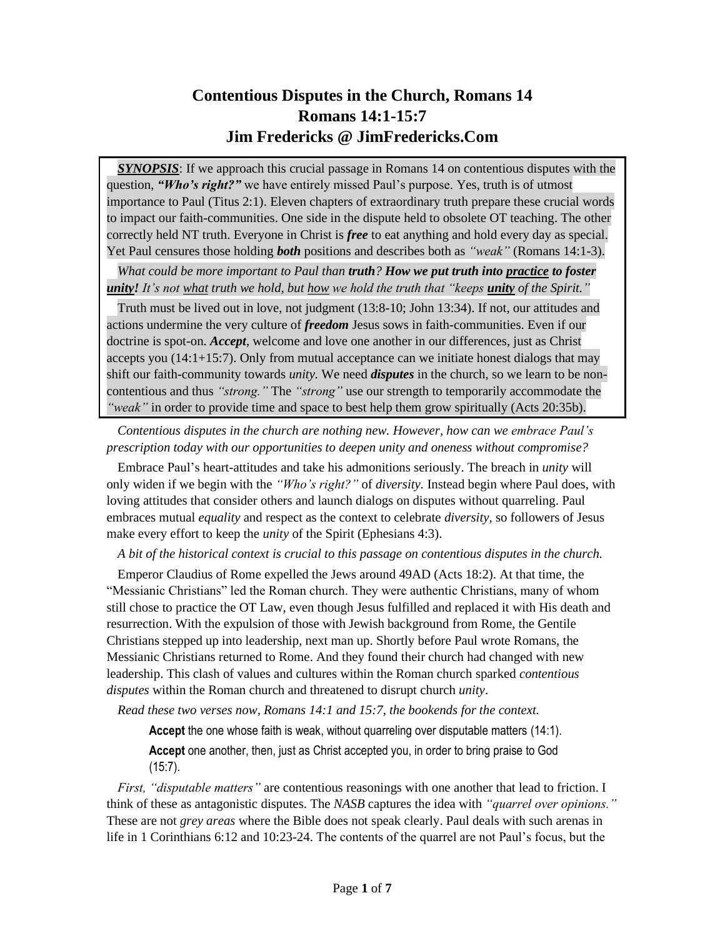# **Contentious Disputes in the Church, Romans 14 Romans 14:1-15:7 Jim Fredericks @ JimFredericks.Com**

*SYNOPSIS*: If we approach this crucial passage in Romans 14 on contentious disputes with the question, *"Who's right?"* we have entirely missed Paul's purpose. Yes, truth is of utmost importance to Paul (Titus 2:1). Eleven chapters of extraordinary truth prepare these crucial words to impact our faith-communities. One side in the dispute held to obsolete OT teaching. The other correctly held NT truth. Everyone in Christ is *free* to eat anything and hold every day as special. Yet Paul censures those holding *both* positions and describes both as *"weak"* (Romans 14:1-3).

*What could be more important to Paul than truth? How we put truth into practice to foster unity! It's not what truth we hold, but how we hold the truth that "keeps unity of the Spirit."*

Truth must be lived out in love, not judgment (13:8-10; John 13:34). If not, our attitudes and actions undermine the very culture of *freedom* Jesus sows in faith-communities. Even if our doctrine is spot-on. *Accept*, welcome and love one another in our differences, just as Christ accepts you (14:1+15:7). Only from mutual acceptance can we initiate honest dialogs that may shift our faith-community towards *unity.* We need *disputes* in the church, so we learn to be noncontentious and thus *"strong."* The *"strong"* use our strength to temporarily accommodate the *"weak"* in order to provide time and space to best help them grow spiritually (Acts 20:35b).

*Contentious disputes in the church are nothing new. However, how can we embrace Paul's prescription today with our opportunities to deepen unity and oneness without compromise?*

Embrace Paul's heart-attitudes and take his admonitions seriously. The breach in *unity* will only widen if we begin with the *"Who's right?"* of *diversity.* Instead begin where Paul does, with loving attitudes that consider others and launch dialogs on disputes without quarreling. Paul embraces mutual *equality* and respect as the context to celebrate *diversity,* so followers of Jesus make every effort to keep the *unity* of the Spirit (Ephesians 4:3).

*A bit of the historical context is crucial to this passage on contentious disputes in the church.*

Emperor Claudius of Rome expelled the Jews around 49AD (Acts 18:2). At that time, the "Messianic Christians" led the Roman church. They were authentic Christians, many of whom still chose to practice the OT Law, even though Jesus fulfilled and replaced it with His death and resurrection. With the expulsion of those with Jewish background from Rome, the Gentile Christians stepped up into leadership, next man up. Shortly before Paul wrote Romans, the Messianic Christians returned to Rome. And they found their church had changed with new leadership. This clash of values and cultures within the Roman church sparked *contentious disputes* within the Roman church and threatened to disrupt church *unity*.

*Read these two verses now, Romans 14:1 and 15:7, the bookends for the context.* 

**Accept** the one whose faith is weak, without quarreling over disputable matters (14:1).

**Accept** one another, then, just as Christ accepted you, in order to bring praise to God (15:7).

*First, "disputable matters"* are contentious reasonings with one another that lead to friction. I think of these as antagonistic disputes. The *NASB* captures the idea with *"quarrel over opinions."*  These are not *grey areas* where the Bible does not speak clearly. Paul deals with such arenas in life in 1 Corinthians 6:12 and 10:23-24. The contents of the quarrel are not Paul's focus, but the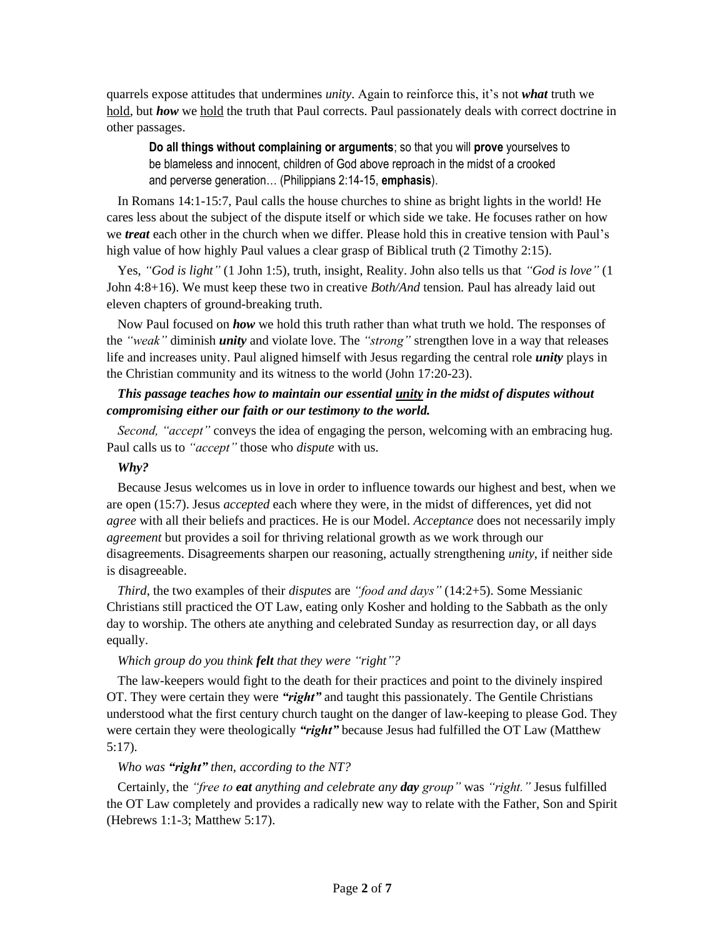quarrels expose attitudes that undermines *unity*. Again to reinforce this, it's not *what* truth we hold, but *how* we hold the truth that Paul corrects. Paul passionately deals with correct doctrine in other passages.

**Do all things without complaining or arguments**; so that you will **prove** yourselves to be blameless and innocent, children of God above reproach in the midst of a crooked and perverse generation… (Philippians 2:14-15, **emphasis**).

In Romans 14:1-15:7, Paul calls the house churches to shine as bright lights in the world! He cares less about the subject of the dispute itself or which side we take. He focuses rather on how we *treat* each other in the church when we differ. Please hold this in creative tension with Paul's high value of how highly Paul values a clear grasp of Biblical truth (2 Timothy 2:15).

Yes, *"God is light"* (1 John 1:5), truth, insight, Reality. John also tells us that *"God is love"* (1 John 4:8+16). We must keep these two in creative *Both/And* tension*.* Paul has already laid out eleven chapters of ground-breaking truth.

Now Paul focused on *how* we hold this truth rather than what truth we hold. The responses of the *"weak"* diminish *unity* and violate love. The *"strong"* strengthen love in a way that releases life and increases unity. Paul aligned himself with Jesus regarding the central role *unity* plays in the Christian community and its witness to the world (John 17:20-23).

# *This passage teaches how to maintain our essential unity in the midst of disputes without compromising either our faith or our testimony to the world.*

*Second, "accept"* conveys the idea of engaging the person, welcoming with an embracing hug. Paul calls us to *"accept"* those who *dispute* with us.

#### *Why?*

Because Jesus welcomes us in love in order to influence towards our highest and best, when we are open (15:7). Jesus *accepted* each where they were, in the midst of differences, yet did not *agree* with all their beliefs and practices. He is our Model. *Acceptance* does not necessarily imply *agreement* but provides a soil for thriving relational growth as we work through our disagreements. Disagreements sharpen our reasoning, actually strengthening *unity*, if neither side is disagreeable.

*Third*, the two examples of their *disputes* are *"food and days"* (14:2+5). Some Messianic Christians still practiced the OT Law, eating only Kosher and holding to the Sabbath as the only day to worship. The others ate anything and celebrated Sunday as resurrection day, or all days equally.

### *Which group do you think felt that they were "right"?*

The law-keepers would fight to the death for their practices and point to the divinely inspired OT. They were certain they were *"right"* and taught this passionately. The Gentile Christians understood what the first century church taught on the danger of law-keeping to please God. They were certain they were theologically *"right"* because Jesus had fulfilled the OT Law (Matthew 5:17).

#### *Who was "right" then, according to the NT?*

Certainly, the *"free to eat anything and celebrate any day group"* was *"right."* Jesus fulfilled the OT Law completely and provides a radically new way to relate with the Father, Son and Spirit (Hebrews 1:1-3; Matthew 5:17).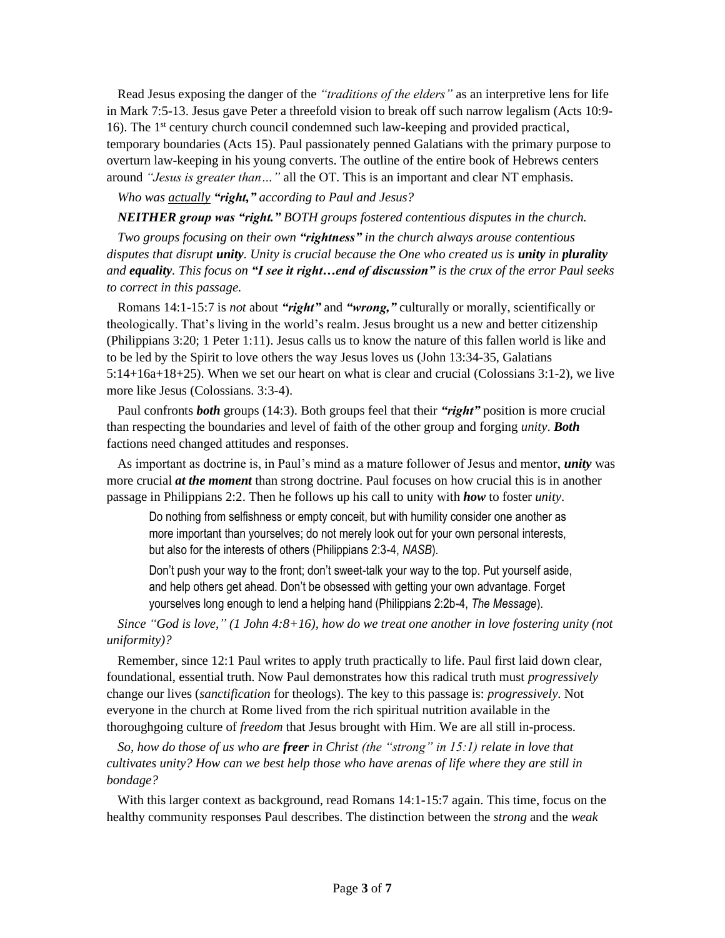Read Jesus exposing the danger of the *"traditions of the elders"* as an interpretive lens for life in Mark 7:5-13. Jesus gave Peter a threefold vision to break off such narrow legalism (Acts 10:9- 16). The 1<sup>st</sup> century church council condemned such law-keeping and provided practical, temporary boundaries (Acts 15). Paul passionately penned Galatians with the primary purpose to overturn law-keeping in his young converts. The outline of the entire book of Hebrews centers around *"Jesus is greater than…"* all the OT. This is an important and clear NT emphasis.

*Who was actually "right," according to Paul and Jesus?*

*NEITHER group was "right." BOTH groups fostered contentious disputes in the church.*

*Two groups focusing on their own "rightness" in the church always arouse contentious disputes that disrupt unity. Unity is crucial because the One who created us is unity in plurality and equality. This focus on "I see it right…end of discussion" is the crux of the error Paul seeks to correct in this passage.*

Romans 14:1-15:7 is *not* about *"right"* and *"wrong,"* culturally or morally, scientifically or theologically. That's living in the world's realm. Jesus brought us a new and better citizenship (Philippians 3:20; 1 Peter 1:11). Jesus calls us to know the nature of this fallen world is like and to be led by the Spirit to love others the way Jesus loves us (John 13:34-35, Galatians 5:14+16a+18+25). When we set our heart on what is clear and crucial (Colossians 3:1-2), we live more like Jesus (Colossians. 3:3-4).

Paul confronts *both* groups (14:3). Both groups feel that their *"right"* position is more crucial than respecting the boundaries and level of faith of the other group and forging *unity*. *Both* factions need changed attitudes and responses.

As important as doctrine is, in Paul's mind as a mature follower of Jesus and mentor, *unity* was more crucial *at the moment* than strong doctrine. Paul focuses on how crucial this is in another passage in Philippians 2:2. Then he follows up his call to unity with *how* to foster *unity*.

Do nothing from selfishness or empty conceit, but with humility consider one another as more important than yourselves; do not merely look out for your own personal interests, but also for the interests of others (Philippians 2:3-4, *NASB*).

Don't push your way to the front; don't sweet-talk your way to the top. Put yourself aside, and help others get ahead. Don't be obsessed with getting your own advantage. Forget yourselves long enough to lend a helping hand (Philippians 2:2b-4, *The Message*).

*Since "God is love," (1 John 4:8+16), how do we treat one another in love fostering unity (not uniformity)?*

Remember, since 12:1 Paul writes to apply truth practically to life. Paul first laid down clear, foundational, essential truth. Now Paul demonstrates how this radical truth must *progressively*  change our lives (*sanctification* for theologs). The key to this passage is: *progressively*. Not everyone in the church at Rome lived from the rich spiritual nutrition available in the thoroughgoing culture of *freedom* that Jesus brought with Him. We are all still in-process.

*So, how do those of us who are freer in Christ (the "strong" in 15:1) relate in love that cultivates unity? How can we best help those who have arenas of life where they are still in bondage?*

With this larger context as background, read Romans 14:1-15:7 again. This time, focus on the healthy community responses Paul describes. The distinction between the *strong* and the *weak*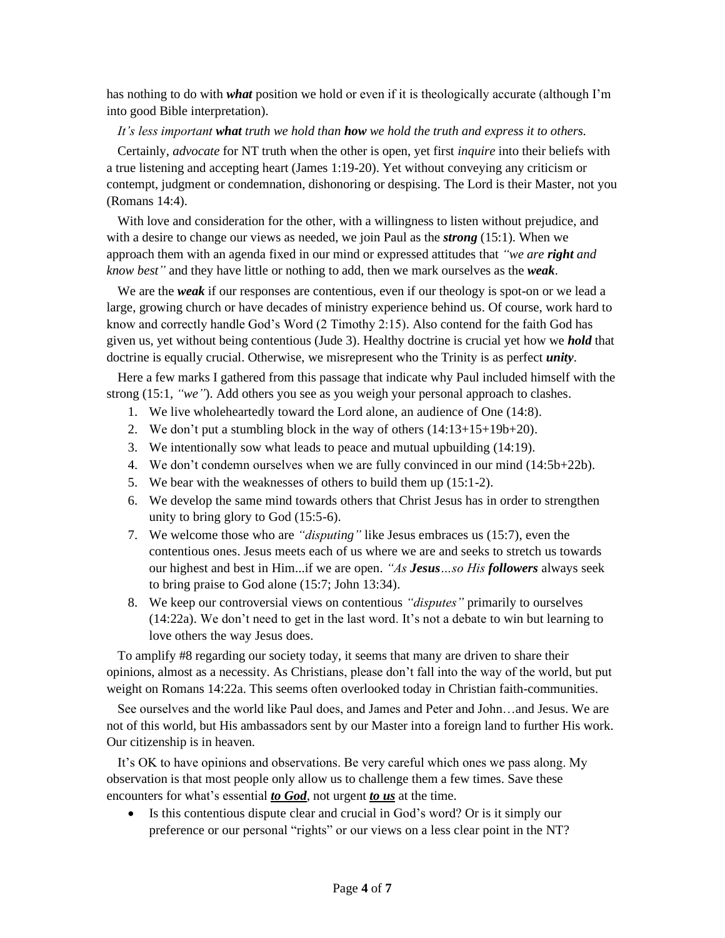has nothing to do with *what* position we hold or even if it is theologically accurate (although I'm into good Bible interpretation).

#### *It's less important what truth we hold than how we hold the truth and express it to others.*

Certainly, *advocate* for NT truth when the other is open, yet first *inquire* into their beliefs with a true listening and accepting heart (James 1:19-20). Yet without conveying any criticism or contempt, judgment or condemnation, dishonoring or despising. The Lord is their Master, not you (Romans 14:4).

With love and consideration for the other, with a willingness to listen without prejudice, and with a desire to change our views as needed, we join Paul as the *strong* (15:1). When we approach them with an agenda fixed in our mind or expressed attitudes that *"we are right and know best"* and they have little or nothing to add, then we mark ourselves as the *weak*.

We are the *weak* if our responses are contentious, even if our theology is spot-on or we lead a large, growing church or have decades of ministry experience behind us. Of course, work hard to know and correctly handle God's Word (2 Timothy 2:15). Also contend for the faith God has given us, yet without being contentious (Jude 3). Healthy doctrine is crucial yet how we *hold* that doctrine is equally crucial. Otherwise, we misrepresent who the Trinity is as perfect *unity*.

Here a few marks I gathered from this passage that indicate why Paul included himself with the strong (15:1, *"we"*). Add others you see as you weigh your personal approach to clashes.

- 1. We live wholeheartedly toward the Lord alone, an audience of One (14:8).
- 2. We don't put a stumbling block in the way of others (14:13+15+19b+20).
- 3. We intentionally sow what leads to peace and mutual upbuilding (14:19).
- 4. We don't condemn ourselves when we are fully convinced in our mind (14:5b+22b).
- 5. We bear with the weaknesses of others to build them up (15:1-2).
- 6. We develop the same mind towards others that Christ Jesus has in order to strengthen unity to bring glory to God (15:5-6).
- 7. We welcome those who are *"disputing"* like Jesus embraces us (15:7), even the contentious ones. Jesus meets each of us where we are and seeks to stretch us towards our highest and best in Him...if we are open. *"As Jesus…so His followers* always seek to bring praise to God alone (15:7; John 13:34).
- 8. We keep our controversial views on contentious *"disputes"* primarily to ourselves (14:22a). We don't need to get in the last word. It's not a debate to win but learning to love others the way Jesus does.

To amplify #8 regarding our society today, it seems that many are driven to share their opinions, almost as a necessity. As Christians, please don't fall into the way of the world, but put weight on Romans 14:22a. This seems often overlooked today in Christian faith-communities.

See ourselves and the world like Paul does, and James and Peter and John…and Jesus. We are not of this world, but His ambassadors sent by our Master into a foreign land to further His work. Our citizenship is in heaven.

It's OK to have opinions and observations. Be very careful which ones we pass along. My observation is that most people only allow us to challenge them a few times. Save these encounters for what's essential *to God*, not urgent *to us* at the time.

• Is this contentious dispute clear and crucial in God's word? Or is it simply our preference or our personal "rights" or our views on a less clear point in the NT?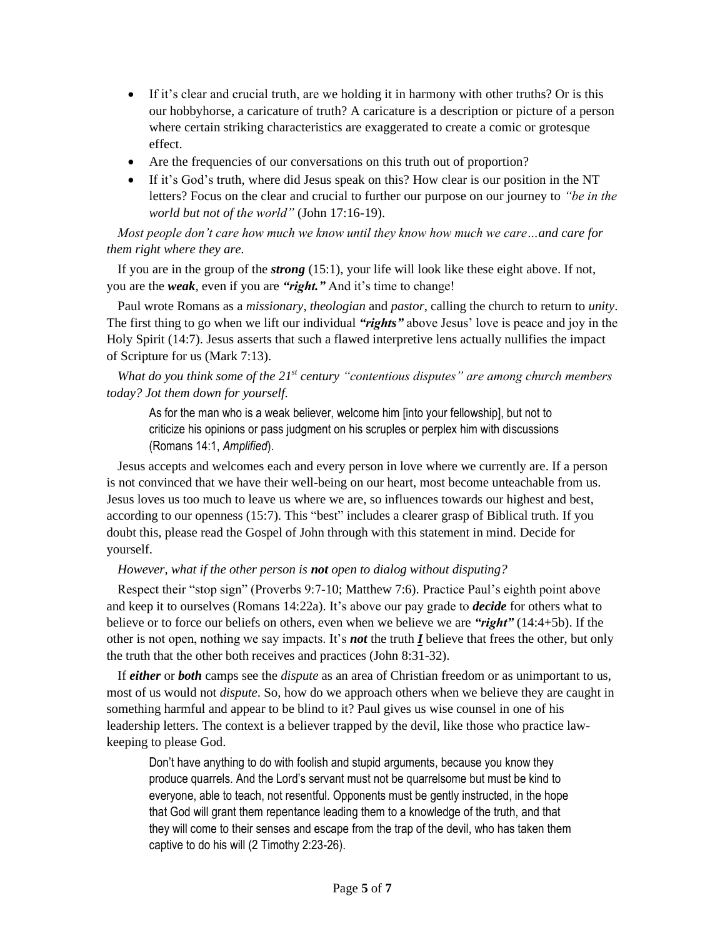- If it's clear and crucial truth, are we holding it in harmony with other truths? Or is this our hobbyhorse, a caricature of truth? A caricature is a description or picture of a person where certain striking characteristics are exaggerated to create a comic or grotesque effect.
- Are the frequencies of our conversations on this truth out of proportion?
- If it's God's truth, where did Jesus speak on this? How clear is our position in the NT letters? Focus on the clear and crucial to further our purpose on our journey to *"be in the world but not of the world"* (John 17:16-19).

*Most people don't care how much we know until they know how much we care…and care for them right where they are.*

If you are in the group of the *strong* (15:1), your life will look like these eight above. If not, you are the *weak*, even if you are *"right."* And it's time to change!

Paul wrote Romans as a *missionary*, *theologian* and *pastor*, calling the church to return to *unity*. The first thing to go when we lift our individual *"rights"* above Jesus' love is peace and joy in the Holy Spirit (14:7). Jesus asserts that such a flawed interpretive lens actually nullifies the impact of Scripture for us (Mark 7:13).

*What do you think some of the 21st century "contentious disputes" are among church members today? Jot them down for yourself.*

As for the man who is a weak believer, welcome him [into your fellowship], but not to criticize his opinions or pass judgment on his scruples or perplex him with discussions (Romans 14:1, *Amplified*).

Jesus accepts and welcomes each and every person in love where we currently are. If a person is not convinced that we have their well-being on our heart, most become unteachable from us. Jesus loves us too much to leave us where we are, so influences towards our highest and best, according to our openness (15:7). This "best" includes a clearer grasp of Biblical truth. If you doubt this, please read the Gospel of John through with this statement in mind. Decide for yourself.

# *However, what if the other person is not open to dialog without disputing?*

Respect their "stop sign" (Proverbs 9:7-10; Matthew 7:6). Practice Paul's eighth point above and keep it to ourselves (Romans 14:22a). It's above our pay grade to *decide* for others what to believe or to force our beliefs on others, even when we believe we are *"right"* (14:4+5b). If the other is not open, nothing we say impacts. It's *not* the truth *I* believe that frees the other, but only the truth that the other both receives and practices (John 8:31-32).

If *either* or *both* camps see the *dispute* as an area of Christian freedom or as unimportant to us, most of us would not *dispute*. So, how do we approach others when we believe they are caught in something harmful and appear to be blind to it? Paul gives us wise counsel in one of his leadership letters. The context is a believer trapped by the devil, like those who practice lawkeeping to please God.

Don't have anything to do with foolish and stupid arguments, because you know they produce quarrels. And the Lord's servant must not be quarrelsome but must be kind to everyone, able to teach, not resentful. Opponents must be gently instructed, in the hope that God will grant them repentance leading them to a knowledge of the truth, and that they will come to their senses and escape from the trap of the devil, who has taken them captive to do his will (2 Timothy 2:23-26).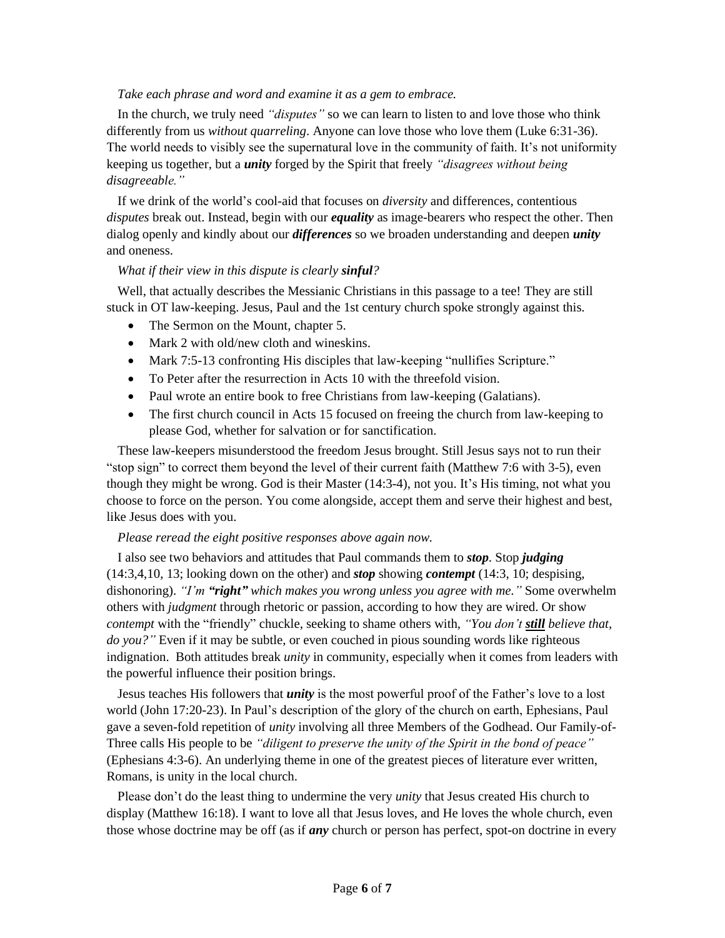### *Take each phrase and word and examine it as a gem to embrace.*

In the church, we truly need *"disputes"* so we can learn to listen to and love those who think differently from us *without quarreling*. Anyone can love those who love them (Luke 6:31-36). The world needs to visibly see the supernatural love in the community of faith. It's not uniformity keeping us together, but a *unity* forged by the Spirit that freely *"disagrees without being disagreeable."*

If we drink of the world's cool-aid that focuses on *diversity* and differences, contentious *disputes* break out. Instead, begin with our *equality* as image-bearers who respect the other. Then dialog openly and kindly about our *differences* so we broaden understanding and deepen *unity* and oneness.

#### *What if their view in this dispute is clearly sinful?*

Well, that actually describes the Messianic Christians in this passage to a tee! They are still stuck in OT law-keeping. Jesus, Paul and the 1st century church spoke strongly against this.

- The Sermon on the Mount, chapter 5.
- Mark 2 with old/new cloth and wineskins.
- Mark 7:5-13 confronting His disciples that law-keeping "nullifies Scripture."
- To Peter after the resurrection in Acts 10 with the threefold vision.
- Paul wrote an entire book to free Christians from law-keeping (Galatians).
- The first church council in Acts 15 focused on freeing the church from law-keeping to please God, whether for salvation or for sanctification.

These law-keepers misunderstood the freedom Jesus brought. Still Jesus says not to run their "stop sign" to correct them beyond the level of their current faith (Matthew 7:6 with 3-5), even though they might be wrong. God is their Master (14:3-4), not you. It's His timing, not what you choose to force on the person. You come alongside, accept them and serve their highest and best, like Jesus does with you.

# *Please reread the eight positive responses above again now.*

I also see two behaviors and attitudes that Paul commands them to *stop*. Stop *judging* (14:3,4,10, 13; looking down on the other) and *stop* showing *contempt* (14:3, 10; despising, dishonoring). *"I'm "right" which makes you wrong unless you agree with me."* Some overwhelm others with *judgment* through rhetoric or passion, according to how they are wired. Or show *contempt* with the "friendly" chuckle, seeking to shame others with, *"You don't still believe that, do you?"* Even if it may be subtle, or even couched in pious sounding words like righteous indignation. Both attitudes break *unity* in community, especially when it comes from leaders with the powerful influence their position brings.

Jesus teaches His followers that *unity* is the most powerful proof of the Father's love to a lost world (John 17:20-23). In Paul's description of the glory of the church on earth, Ephesians, Paul gave a seven-fold repetition of *unity* involving all three Members of the Godhead. Our Family-of-Three calls His people to be *"diligent to preserve the unity of the Spirit in the bond of peace"*  (Ephesians 4:3-6). An underlying theme in one of the greatest pieces of literature ever written, Romans, is unity in the local church.

Please don't do the least thing to undermine the very *unity* that Jesus created His church to display (Matthew 16:18). I want to love all that Jesus loves, and He loves the whole church, even those whose doctrine may be off (as if *any* church or person has perfect, spot-on doctrine in every